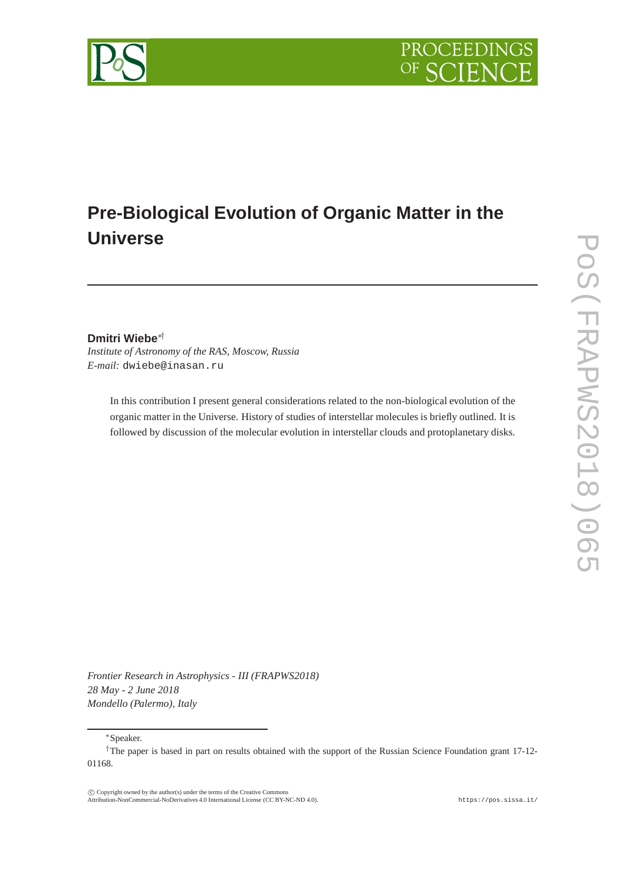



**Dmitri Wiebe**∗†

*Institute of Astronomy of the RAS, Moscow, Russia E-mail:* dwiebe@inasan.ru

> In this contribution I present general considerations related to the non-biological evolution of the organic matter in the Universe. History of studies of interstellar molecules is briefly outlined. It is followed by discussion of the molecular evolution in interstellar clouds and protoplanetary disks.

*Frontier Research in Astrophysics - III (FRAPWS2018) 28 May - 2 June 2018 Mondello (Palermo), Italy*

<sup>∗</sup>Speaker.

 c Copyright owned by the author(s) under the terms of the Creative Commons Attribution-NonCommercial-NoDerivatives 4.0 International License (CC BY-NC-ND 4.0). https://pos.sissa.it/

<sup>†</sup>The paper is based in part on results obtained with the support of the Russian Science Foundation grant 17-12- 01168.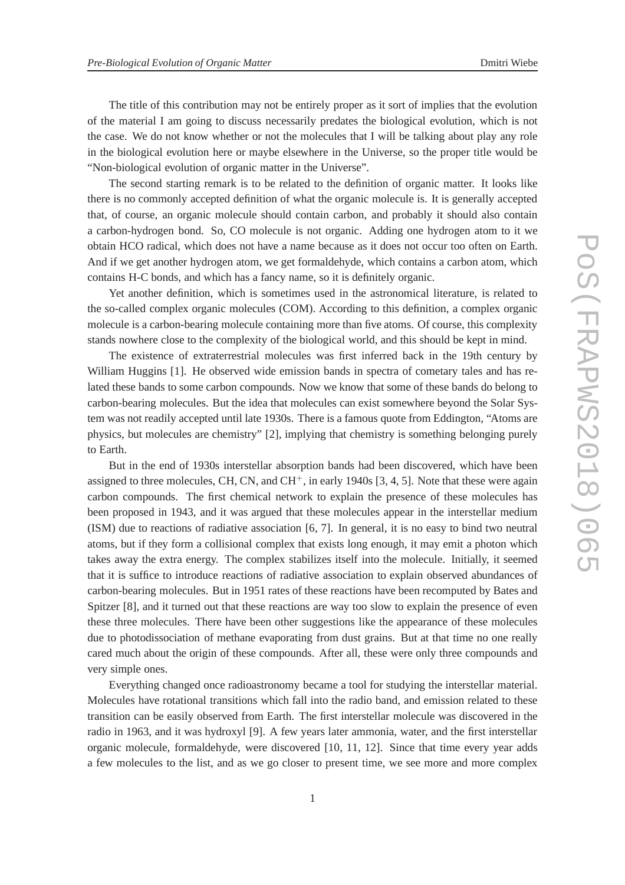The title of this contribution may not be entirely proper as it sort of implies that the evolution of the material I am going to discuss necessarily predates the biological evolution, which is not the case. We do not know whether or not the molecules that I will be talking about play any role in the biological evolution here or maybe elsewhere in the Universe, so the proper title would be "Non-biological evolution of organic matter in the Universe".

The second starting remark is to be related to the definition of organic matter. It looks like there is no commonly accepted definition of what the organic molecule is. It is generally accepted that, of course, an organic molecule should contain carbon, and probably it should also contain a carbon-hydrogen bond. So, CO molecule is not organic. Adding one hydrogen atom to it we obtain HCO radical, which does not have a name because as it does not occur too often on Earth. And if we get another hydrogen atom, we get formaldehyde, which contains a carbon atom, which contains H-C bonds, and which has a fancy name, so it is definitely organic.

Yet another definition, which is sometimes used in the astronomical literature, is related to the so-called complex organic molecules (COM). According to this definition, a complex organic molecule is a carbon-bearing molecule containing more than five atoms. Of course, this complexity stands nowhere close to the complexity of the biological world, and this should be kept in mind.

The existence of extraterrestrial molecules was first inferred back in the 19th century by William Huggins [1]. He observed wide emission bands in spectra of cometary tales and has related these bands to some carbon compounds. Now we know that some of these bands do belong to carbon-bearing molecules. But the idea that molecules can exist somewhere beyond the Solar System was not readily accepted until late 1930s. There is a famous quote from Eddington, "Atoms are physics, but molecules are chemistry" [2], implying that chemistry is something belonging purely to Earth.

But in the end of 1930s interstellar absorption bands had been discovered, which have been assigned to three molecules, CH, CN, and  $CH<sup>+</sup>$ , in early 1940s [3, 4, 5]. Note that these were again carbon compounds. The first chemical network to explain the presence of these molecules has been proposed in 1943, and it was argued that these molecules appear in the interstellar medium (ISM) due to reactions of radiative association [6, 7]. In general, it is no easy to bind two neutral atoms, but if they form a collisional complex that exists long enough, it may emit a photon which takes away the extra energy. The complex stabilizes itself into the molecule. Initially, it seemed that it is suffice to introduce reactions of radiative association to explain observed abundances of carbon-bearing molecules. But in 1951 rates of these reactions have been recomputed by Bates and Spitzer [8], and it turned out that these reactions are way too slow to explain the presence of even these three molecules. There have been other suggestions like the appearance of these molecules due to photodissociation of methane evaporating from dust grains. But at that time no one really cared much about the origin of these compounds. After all, these were only three compounds and very simple ones.

Everything changed once radioastronomy became a tool for studying the interstellar material. Molecules have rotational transitions which fall into the radio band, and emission related to these transition can be easily observed from Earth. The first interstellar molecule was discovered in the radio in 1963, and it was hydroxyl [9]. A few years later ammonia, water, and the first interstellar organic molecule, formaldehyde, were discovered [10, 11, 12]. Since that time every year adds a few molecules to the list, and as we go closer to present time, we see more and more complex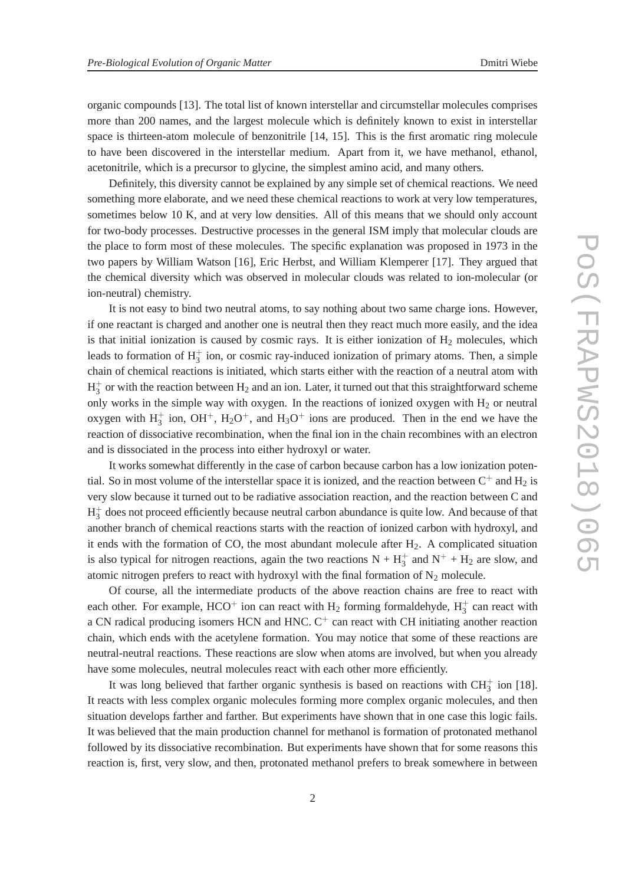organic compounds [13]. The total list of known interstellar and circumstellar molecules comprises more than 200 names, and the largest molecule which is definitely known to exist in interstellar space is thirteen-atom molecule of benzonitrile [14, 15]. This is the first aromatic ring molecule to have been discovered in the interstellar medium. Apart from it, we have methanol, ethanol, acetonitrile, which is a precursor to glycine, the simplest amino acid, and many others.

Definitely, this diversity cannot be explained by any simple set of chemical reactions. We need something more elaborate, and we need these chemical reactions to work at very low temperatures, sometimes below 10 K, and at very low densities. All of this means that we should only account for two-body processes. Destructive processes in the general ISM imply that molecular clouds are the place to form most of these molecules. The specific explanation was proposed in 1973 in the two papers by William Watson [16], Eric Herbst, and William Klemperer [17]. They argued that the chemical diversity which was observed in molecular clouds was related to ion-molecular (or ion-neutral) chemistry.

It is not easy to bind two neutral atoms, to say nothing about two same charge ions. However, if one reactant is charged and another one is neutral then they react much more easily, and the idea is that initial ionization is caused by cosmic rays. It is either ionization of  $H_2$  molecules, which leads to formation of  $H_3^+$  ion, or cosmic ray-induced ionization of primary atoms. Then, a simple chain of chemical reactions is initiated, which starts either with the reaction of a neutral atom with  $H_3^+$  $_3^+$  or with the reaction between  $H_2$  and an ion. Later, it turned out that this straightforward scheme only works in the simple way with oxygen. In the reactions of ionized oxygen with  $H_2$  or neutral oxygen with  $H_3^+$  ion, OH<sup>+</sup>, H<sub>2</sub>O<sup>+</sup>, and H<sub>3</sub>O<sup>+</sup> ions are produced. Then in the end we have the reaction of dissociative recombination, when the final ion in the chain recombines with an electron and is dissociated in the process into either hydroxyl or water.

It works somewhat differently in the case of carbon because carbon has a low ionization potential. So in most volume of the interstellar space it is ionized, and the reaction between  $C^+$  and  $H_2$  is very slow because it turned out to be radiative association reaction, and the reaction between C and  $H_3^+$  $_3^+$  does not proceed efficiently because neutral carbon abundance is quite low. And because of that another branch of chemical reactions starts with the reaction of ionized carbon with hydroxyl, and it ends with the formation of CO, the most abundant molecule after  $H<sub>2</sub>$ . A complicated situation is also typical for nitrogen reactions, again the two reactions  $N + H_3^+$  and  $N^+ + H_2$  are slow, and atomic nitrogen prefers to react with hydroxyl with the final formation of  $N_2$  molecule.

Of course, all the intermediate products of the above reaction chains are free to react with each other. For example, HCO<sup>+</sup> ion can react with  $H_2$  forming formaldehyde,  $H_3^+$  can react with a CN radical producing isomers HCN and HNC.  $C^+$  can react with CH initiating another reaction chain, which ends with the acetylene formation. You may notice that some of these reactions are neutral-neutral reactions. These reactions are slow when atoms are involved, but when you already have some molecules, neutral molecules react with each other more efficiently.

It was long believed that farther organic synthesis is based on reactions with  $CH_3^+$  ion [18]. It reacts with less complex organic molecules forming more complex organic molecules, and then situation develops farther and farther. But experiments have shown that in one case this logic fails. It was believed that the main production channel for methanol is formation of protonated methanol followed by its dissociative recombination. But experiments have shown that for some reasons this reaction is, first, very slow, and then, protonated methanol prefers to break somewhere in between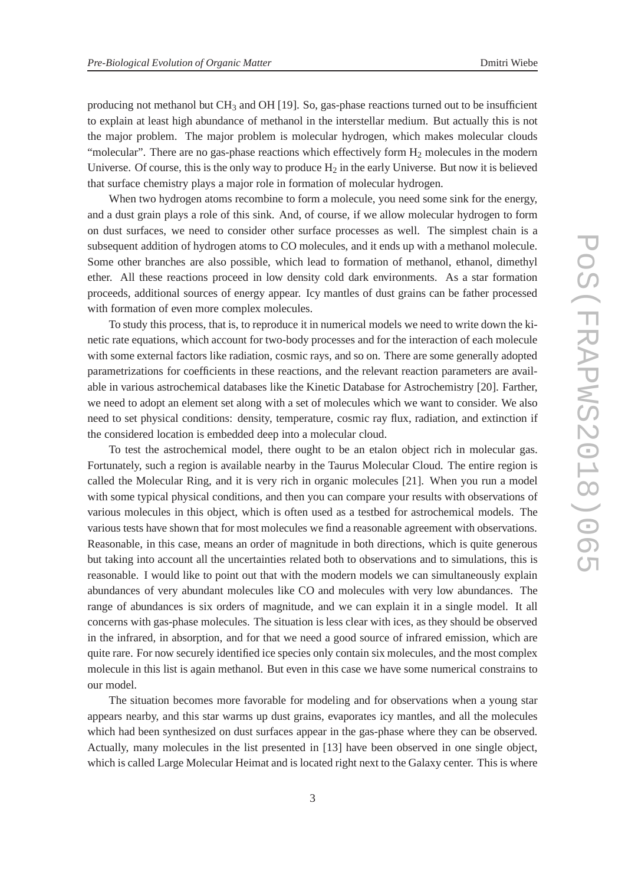producing not methanol but  $CH_3$  and  $OH$  [19]. So, gas-phase reactions turned out to be insufficient to explain at least high abundance of methanol in the interstellar medium. But actually this is not the major problem. The major problem is molecular hydrogen, which makes molecular clouds "molecular". There are no gas-phase reactions which effectively form  $H_2$  molecules in the modern Universe. Of course, this is the only way to produce  $H_2$  in the early Universe. But now it is believed that surface chemistry plays a major role in formation of molecular hydrogen.

When two hydrogen atoms recombine to form a molecule, you need some sink for the energy, and a dust grain plays a role of this sink. And, of course, if we allow molecular hydrogen to form on dust surfaces, we need to consider other surface processes as well. The simplest chain is a subsequent addition of hydrogen atoms to CO molecules, and it ends up with a methanol molecule. Some other branches are also possible, which lead to formation of methanol, ethanol, dimethyl ether. All these reactions proceed in low density cold dark environments. As a star formation proceeds, additional sources of energy appear. Icy mantles of dust grains can be father processed with formation of even more complex molecules.

To study this process, that is, to reproduce it in numerical models we need to write down the kinetic rate equations, which account for two-body processes and for the interaction of each molecule with some external factors like radiation, cosmic rays, and so on. There are some generally adopted parametrizations for coefficients in these reactions, and the relevant reaction parameters are available in various astrochemical databases like the Kinetic Database for Astrochemistry [20]. Farther, we need to adopt an element set along with a set of molecules which we want to consider. We also need to set physical conditions: density, temperature, cosmic ray flux, radiation, and extinction if the considered location is embedded deep into a molecular cloud.

To test the astrochemical model, there ought to be an etalon object rich in molecular gas. Fortunately, such a region is available nearby in the Taurus Molecular Cloud. The entire region is called the Molecular Ring, and it is very rich in organic molecules [21]. When you run a model with some typical physical conditions, and then you can compare your results with observations of various molecules in this object, which is often used as a testbed for astrochemical models. The various tests have shown that for most molecules we find a reasonable agreement with observations. Reasonable, in this case, means an order of magnitude in both directions, which is quite generous but taking into account all the uncertainties related both to observations and to simulations, this is reasonable. I would like to point out that with the modern models we can simultaneously explain abundances of very abundant molecules like CO and molecules with very low abundances. The range of abundances is six orders of magnitude, and we can explain it in a single model. It all concerns with gas-phase molecules. The situation is less clear with ices, as they should be observed in the infrared, in absorption, and for that we need a good source of infrared emission, which are quite rare. For now securely identified ice species only contain six molecules, and the most complex molecule in this list is again methanol. But even in this case we have some numerical constrains to our model.

The situation becomes more favorable for modeling and for observations when a young star appears nearby, and this star warms up dust grains, evaporates icy mantles, and all the molecules which had been synthesized on dust surfaces appear in the gas-phase where they can be observed. Actually, many molecules in the list presented in [13] have been observed in one single object, which is called Large Molecular Heimat and is located right next to the Galaxy center. This is where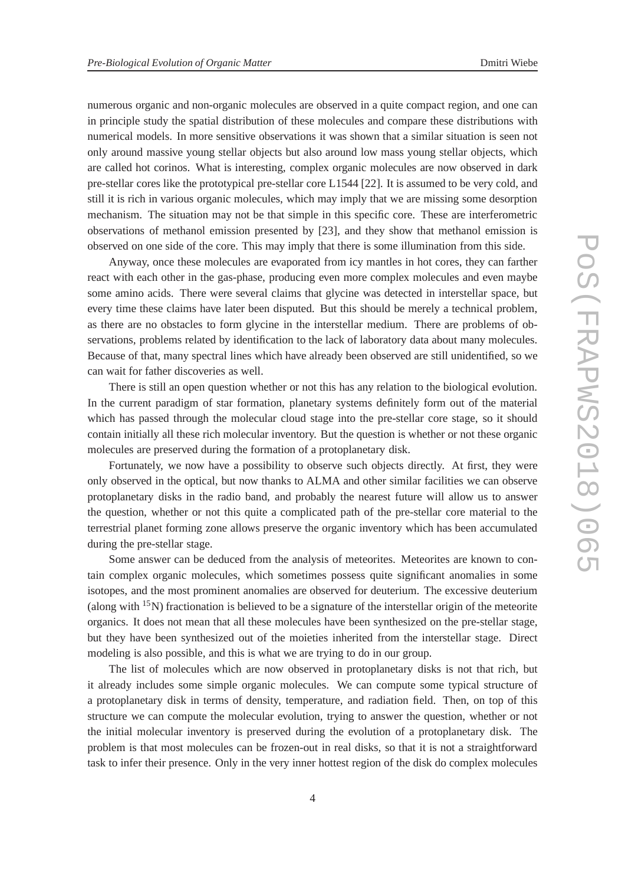numerous organic and non-organic molecules are observed in a quite compact region, and one can in principle study the spatial distribution of these molecules and compare these distributions with numerical models. In more sensitive observations it was shown that a similar situation is seen not only around massive young stellar objects but also around low mass young stellar objects, which are called hot corinos. What is interesting, complex organic molecules are now observed in dark pre-stellar cores like the prototypical pre-stellar core L1544 [22]. It is assumed to be very cold, and still it is rich in various organic molecules, which may imply that we are missing some desorption mechanism. The situation may not be that simple in this specific core. These are interferometric observations of methanol emission presented by [23], and they show that methanol emission is observed on one side of the core. This may imply that there is some illumination from this side.

Anyway, once these molecules are evaporated from icy mantles in hot cores, they can farther react with each other in the gas-phase, producing even more complex molecules and even maybe some amino acids. There were several claims that glycine was detected in interstellar space, but every time these claims have later been disputed. But this should be merely a technical problem, as there are no obstacles to form glycine in the interstellar medium. There are problems of observations, problems related by identification to the lack of laboratory data about many molecules. Because of that, many spectral lines which have already been observed are still unidentified, so we can wait for father discoveries as well.

There is still an open question whether or not this has any relation to the biological evolution. In the current paradigm of star formation, planetary systems definitely form out of the material which has passed through the molecular cloud stage into the pre-stellar core stage, so it should contain initially all these rich molecular inventory. But the question is whether or not these organic molecules are preserved during the formation of a protoplanetary disk.

Fortunately, we now have a possibility to observe such objects directly. At first, they were only observed in the optical, but now thanks to ALMA and other similar facilities we can observe protoplanetary disks in the radio band, and probably the nearest future will allow us to answer the question, whether or not this quite a complicated path of the pre-stellar core material to the terrestrial planet forming zone allows preserve the organic inventory which has been accumulated during the pre-stellar stage.

Some answer can be deduced from the analysis of meteorites. Meteorites are known to contain complex organic molecules, which sometimes possess quite significant anomalies in some isotopes, and the most prominent anomalies are observed for deuterium. The excessive deuterium (along with  $15N$ ) fractionation is believed to be a signature of the interstellar origin of the meteorite organics. It does not mean that all these molecules have been synthesized on the pre-stellar stage, but they have been synthesized out of the moieties inherited from the interstellar stage. Direct modeling is also possible, and this is what we are trying to do in our group.

The list of molecules which are now observed in protoplanetary disks is not that rich, but it already includes some simple organic molecules. We can compute some typical structure of a protoplanetary disk in terms of density, temperature, and radiation field. Then, on top of this structure we can compute the molecular evolution, trying to answer the question, whether or not the initial molecular inventory is preserved during the evolution of a protoplanetary disk. The problem is that most molecules can be frozen-out in real disks, so that it is not a straightforward task to infer their presence. Only in the very inner hottest region of the disk do complex molecules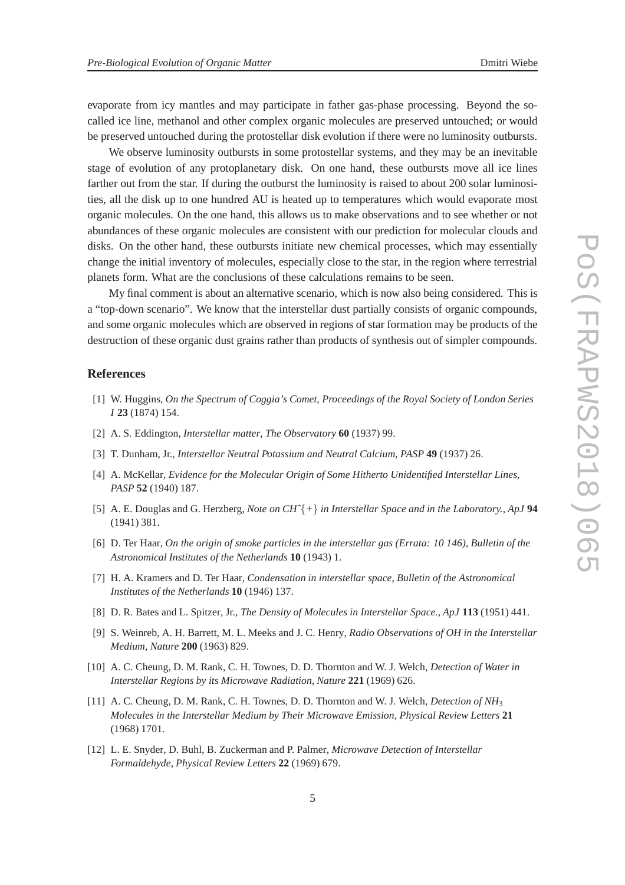evaporate from icy mantles and may participate in father gas-phase processing. Beyond the socalled ice line, methanol and other complex organic molecules are preserved untouched; or would be preserved untouched during the protostellar disk evolution if there were no luminosity outbursts.

We observe luminosity outbursts in some protostellar systems, and they may be an inevitable stage of evolution of any protoplanetary disk. On one hand, these outbursts move all ice lines farther out from the star. If during the outburst the luminosity is raised to about 200 solar luminosities, all the disk up to one hundred AU is heated up to temperatures which would evaporate most organic molecules. On the one hand, this allows us to make observations and to see whether or not abundances of these organic molecules are consistent with our prediction for molecular clouds and disks. On the other hand, these outbursts initiate new chemical processes, which may essentially change the initial inventory of molecules, especially close to the star, in the region where terrestrial planets form. What are the conclusions of these calculations remains to be seen.

My final comment is about an alternative scenario, which is now also being considered. This is a "top-down scenario". We know that the interstellar dust partially consists of organic compounds, and some organic molecules which are observed in regions of star formation may be products of the destruction of these organic dust grains rather than products of synthesis out of simpler compounds.

## **References**

- [1] W. Huggins, *On the Spectrum of Coggia's Comet*, *Proceedings of the Royal Society of London Series I* **23** (1874) 154.
- [2] A. S. Eddington, *Interstellar matter*, *The Observatory* **60** (1937) 99.
- [3] T. Dunham, Jr., *Interstellar Neutral Potassium and Neutral Calcium*, *PASP* **49** (1937) 26.
- [4] A. McKellar, *Evidence for the Molecular Origin of Some Hitherto Unidentified Interstellar Lines*, *PASP* **52** (1940) 187.
- [5] A. E. Douglas and G. Herzberg, *Note on CHˆ*{*+*} *in Interstellar Space and in the Laboratory.*, *ApJ* **94** (1941) 381.
- [6] D. Ter Haar, *On the origin of smoke particles in the interstellar gas (Errata: 10 146)*, *Bulletin of the Astronomical Institutes of the Netherlands* **10** (1943) 1.
- [7] H. A. Kramers and D. Ter Haar, *Condensation in interstellar space*, *Bulletin of the Astronomical Institutes of the Netherlands* **10** (1946) 137.
- [8] D. R. Bates and L. Spitzer, Jr., *The Density of Molecules in Interstellar Space.*, *ApJ* **113** (1951) 441.
- [9] S. Weinreb, A. H. Barrett, M. L. Meeks and J. C. Henry, *Radio Observations of OH in the Interstellar Medium*, *Nature* **200** (1963) 829.
- [10] A. C. Cheung, D. M. Rank, C. H. Townes, D. D. Thornton and W. J. Welch, *Detection of Water in Interstellar Regions by its Microwave Radiation*, *Nature* **221** (1969) 626.
- [11] A. C. Cheung, D. M. Rank, C. H. Townes, D. D. Thornton and W. J. Welch, *Detection of NH*<sup>3</sup> *Molecules in the Interstellar Medium by Their Microwave Emission*, *Physical Review Letters* **21** (1968) 1701.
- [12] L. E. Snyder, D. Buhl, B. Zuckerman and P. Palmer, *Microwave Detection of Interstellar Formaldehyde*, *Physical Review Letters* **22** (1969) 679.